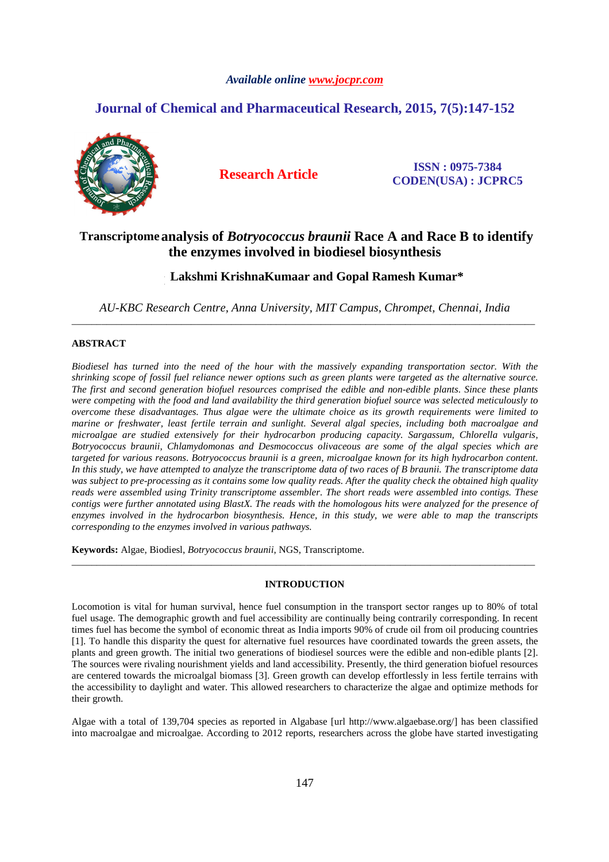## *Available online www.jocpr.com*

# **Journal of Chemical and Pharmaceutical Research, 2015, 7(5):147-152**



**Research Article ISSN : 0975-7384 CODEN(USA) : JCPRC5**

## Transcriptome analysis of *Botryococcus braunii* Race A and Race B to identify **the enzymes involved in biodiesel biosynthesis**

# **Lakshmi Krishna Kumaar and Gopal Ramesh Kumar\* Lakshmi KrishnaKumaar and Gopal Ramesh Kumar\* r**

*AU-KBC Research Centre, Anna University, MIT Campus, Chrompet, Chennai, India*  \_\_\_\_\_\_\_\_\_\_\_\_\_\_\_\_\_\_\_\_\_\_\_\_\_\_\_\_\_\_\_\_\_\_\_\_\_\_\_\_\_\_\_\_\_\_\_\_\_\_\_\_\_\_\_\_\_\_\_\_\_\_\_\_\_\_\_\_\_\_\_\_\_\_\_\_\_\_\_\_\_\_\_\_\_\_\_\_\_\_\_\_\_

## **ABSTRACT**

*Biodiesel has turned into the need of the hour with the massively expanding transportation sector. With the shrinking scope of fossil fuel reliance newer options such as green plants were targeted as the alternative source. The first and second generation biofuel resources comprised the edible and non-edible plants. Since these plants were competing with the food and land availability the third generation biofuel source was selected meticulously to overcome these disadvantages. Thus algae were the ultimate choice as its growth requirements were limited to marine or freshwater, least fertile terrain and sunlight. Several algal species, including both macroalgae and microalgae are studied extensively for their hydrocarbon producing capacity. Sargassum, Chlorella vulgaris, Botryococcus braunii, Chlamydomonas and Desmococcus olivaceous are some of the algal species which are targeted for various reasons. Botryococcus braunii is a green, microalgae known for its high hydrocarbon content. In this study, we have attempted to analyze the transcriptome data of two races of B braunii. The transcriptome data was subject to pre-processing as it contains some low quality reads. After the quality check the obtained high quality reads were assembled using Trinity transcriptome assembler. The short reads were assembled into contigs. These contigs were further annotated using BlastX. The reads with the homologous hits were analyzed for the presence of enzymes involved in the hydrocarbon biosynthesis. Hence, in this study, we were able to map the transcripts corresponding to the enzymes involved in various pathways.* 

**Keywords:** Algae, Biodiesl, *Botryococcus braunii*, NGS, Transcriptome.

## **INTRODUCTION**

\_\_\_\_\_\_\_\_\_\_\_\_\_\_\_\_\_\_\_\_\_\_\_\_\_\_\_\_\_\_\_\_\_\_\_\_\_\_\_\_\_\_\_\_\_\_\_\_\_\_\_\_\_\_\_\_\_\_\_\_\_\_\_\_\_\_\_\_\_\_\_\_\_\_\_\_\_\_\_\_\_\_\_\_\_\_\_\_\_\_\_\_\_

Locomotion is vital for human survival, hence fuel consumption in the transport sector ranges up to 80% of total fuel usage. The demographic growth and fuel accessibility are continually being contrarily corresponding. In recent times fuel has become the symbol of economic threat as India imports 90% of crude oil from oil producing countries [1]. To handle this disparity the quest for alternative fuel resources have coordinated towards the green assets, the plants and green growth. The initial two generations of biodiesel sources were the edible and non-edible plants [2]. The sources were rivaling nourishment yields and land accessibility. Presently, the third generation biofuel resources are centered towards the microalgal biomass [3]. Green growth can develop effortlessly in less fertile terrains with the accessibility to daylight and water. This allowed researchers to characterize the algae and optimize methods for their growth.

Algae with a total of 139,704 species as reported in Algabase [url http://www.algaebase.org/] has been classified into macroalgae and microalgae. According to 2012 reports, researchers across the globe have started investigating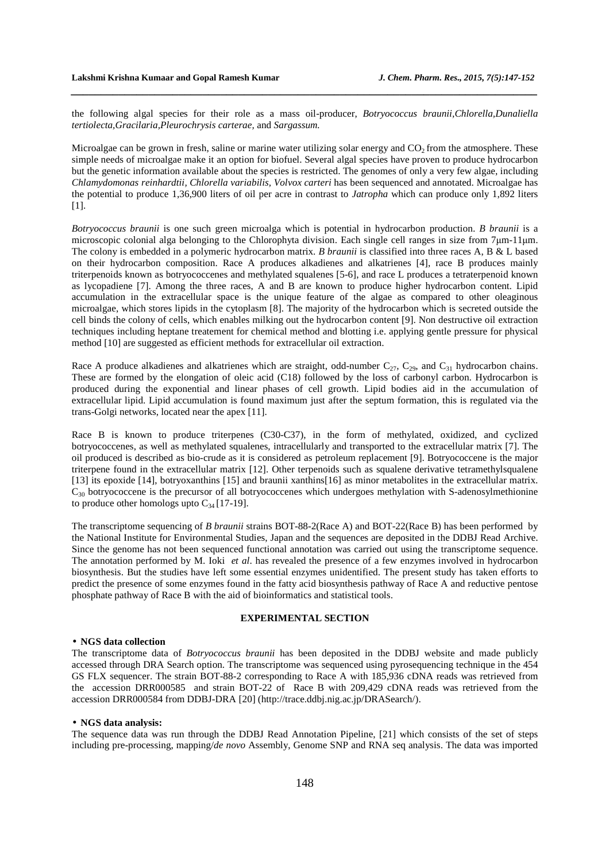the following algal species for their role as a mass oil-producer, *Botryococcus braunii,Chlorella,Dunaliella tertiolecta,Gracilaria,Pleurochrysis carterae,* and *Sargassum.* 

*\_\_\_\_\_\_\_\_\_\_\_\_\_\_\_\_\_\_\_\_\_\_\_\_\_\_\_\_\_\_\_\_\_\_\_\_\_\_\_\_\_\_\_\_\_\_\_\_\_\_\_\_\_\_\_\_\_\_\_\_\_\_\_\_\_\_\_\_\_\_\_\_\_\_\_\_\_\_*

Microalgae can be grown in fresh, saline or marine water utilizing solar energy and  $CO<sub>2</sub>$  from the atmosphere. These simple needs of microalgae make it an option for biofuel. Several algal species have proven to produce hydrocarbon but the genetic information available about the species is restricted. The genomes of only a very few algae, including *Chlamydomonas reinhardtii, Chlorella variabilis, Volvox carteri* has been sequenced and annotated. Microalgae has the potential to produce 1,36,900 liters of oil per acre in contrast to *Jatropha* which can produce only 1,892 liters [1].

*Botryococcus braunii* is one such green microalga which is potential in hydrocarbon production. *B braunii* is a microscopic colonial alga belonging to the Chlorophyta division. Each single cell ranges in size from 7 $\mu$ m-11 $\mu$ m. The colony is embedded in a polymeric hydrocarbon matrix. *B braunii* is classified into three races A, B & L based on their hydrocarbon composition. Race A produces alkadienes and alkatrienes [4], race B produces mainly triterpenoids known as botryococcenes and methylated squalenes [5-6], and race L produces a tetraterpenoid known as lycopadiene [7]. Among the three races, A and B are known to produce higher hydrocarbon content. Lipid accumulation in the extracellular space is the unique feature of the algae as compared to other oleaginous microalgae, which stores lipids in the cytoplasm [8]. The majority of the hydrocarbon which is secreted outside the cell binds the colony of cells, which enables milking out the hydrocarbon content [9]. Non destructive oil extraction techniques including heptane treatement for chemical method and blotting i.e. applying gentle pressure for physical method [10] are suggested as efficient methods for extracellular oil extraction.

Race A produce alkadienes and alkatrienes which are straight, odd-number  $C_{27}$ ,  $C_{29}$ , and  $C_{31}$  hydrocarbon chains. These are formed by the elongation of oleic acid (C18) followed by the loss of carbonyl carbon. Hydrocarbon is produced during the exponential and linear phases of cell growth. Lipid bodies aid in the accumulation of extracellular lipid. Lipid accumulation is found maximum just after the septum formation, this is regulated via the trans-Golgi networks, located near the apex [11].

Race B is known to produce triterpenes (C30-C37), in the form of methylated, oxidized, and cyclized botryococcenes, as well as methylated squalenes, intracellularly and transported to the extracellular matrix [7]. The oil produced is described as bio-crude as it is considered as petroleum replacement [9]. Botryococcene is the major triterpene found in the extracellular matrix [12]. Other terpenoids such as squalene derivative tetramethylsqualene [13] its epoxide [14], botryoxanthins [15] and braunii xanthins[16] as minor metabolites in the extracellular matrix. C30 botryococcene is the precursor of all botryococcenes which undergoes methylation with S-adenosylmethionine to produce other homologs upto  $C_{34}$  [17-19].

The transcriptome sequencing of *B braunii* strains BOT-88-2(Race A) and BOT-22(Race B) has been performed by the National Institute for Environmental Studies, Japan and the sequences are deposited in the DDBJ Read Archive. Since the genome has not been sequenced functional annotation was carried out using the transcriptome sequence. The annotation performed by M. Ioki *et al*. has revealed the presence of a few enzymes involved in hydrocarbon biosynthesis. But the studies have left some essential enzymes unidentified. The present study has taken efforts to predict the presence of some enzymes found in the fatty acid biosynthesis pathway of Race A and reductive pentose phosphate pathway of Race B with the aid of bioinformatics and statistical tools.

#### **EXPERIMENTAL SECTION**

#### • **NGS data collection**

The transcriptome data of *Botryococcus braunii* has been deposited in the DDBJ website and made publicly accessed through DRA Search option. The transcriptome was sequenced using pyrosequencing technique in the 454 GS FLX sequencer. The strain BOT-88-2 corresponding to Race A with 185,936 cDNA reads was retrieved from the accession DRR000585 and strain BOT-22 of Race B with 209,429 cDNA reads was retrieved from the accession DRR000584 from DDBJ-DRA [20] (http://trace.ddbj.nig.ac.jp/DRASearch/).

#### • **NGS data analysis:**

The sequence data was run through the DDBJ Read Annotation Pipeline, [21] which consists of the set of steps including pre-processing, mapping/*de novo* Assembly, Genome SNP and RNA seq analysis. The data was imported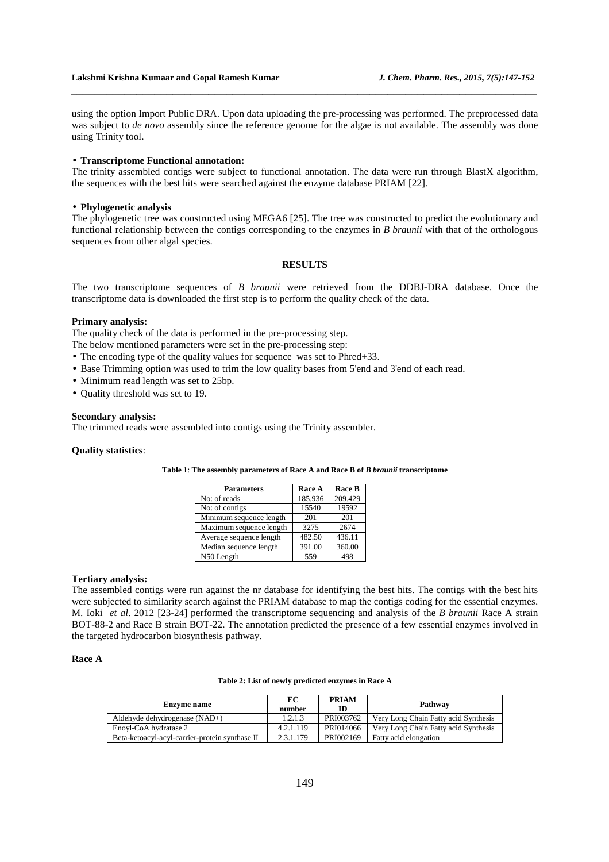using the option Import Public DRA. Upon data uploading the pre-processing was performed. The preprocessed data was subject to *de novo* assembly since the reference genome for the algae is not available. The assembly was done using Trinity tool.

*\_\_\_\_\_\_\_\_\_\_\_\_\_\_\_\_\_\_\_\_\_\_\_\_\_\_\_\_\_\_\_\_\_\_\_\_\_\_\_\_\_\_\_\_\_\_\_\_\_\_\_\_\_\_\_\_\_\_\_\_\_\_\_\_\_\_\_\_\_\_\_\_\_\_\_\_\_\_*

#### • **Transcriptome Functional annotation:**

The trinity assembled contigs were subject to functional annotation. The data were run through BlastX algorithm, the sequences with the best hits were searched against the enzyme database PRIAM [22].

#### • **Phylogenetic analysis**

The phylogenetic tree was constructed using MEGA6 [25]. The tree was constructed to predict the evolutionary and functional relationship between the contigs corresponding to the enzymes in *B braunii* with that of the orthologous sequences from other algal species.

#### **RESULTS**

The two transcriptome sequences of *B braunii* were retrieved from the DDBJ-DRA database. Once the transcriptome data is downloaded the first step is to perform the quality check of the data.

#### **Primary analysis:**

The quality check of the data is performed in the pre-processing step.

The below mentioned parameters were set in the pre-processing step:

- The encoding type of the quality values for sequence was set to Phred+33.
- Base Trimming option was used to trim the low quality bases from 5'end and 3'end of each read.
- Minimum read length was set to 25bp.
- Quality threshold was set to 19.

#### **Secondary analysis:**

The trimmed reads were assembled into contigs using the Trinity assembler.

#### **Quality statistics**:

|  |  |  | Table 1: The assembly parameters of Race A and Race B of B braunii transcriptome |
|--|--|--|----------------------------------------------------------------------------------|
|--|--|--|----------------------------------------------------------------------------------|

| <b>Parameters</b>       | Race A  | <b>Race B</b> |
|-------------------------|---------|---------------|
| No: of reads            | 185,936 | 209,429       |
| No: of contigs          | 15540   | 19592         |
| Minimum sequence length | 201     | 201           |
| Maximum sequence length | 3275    | 2674          |
| Average sequence length | 482.50  | 436.11        |
| Median sequence length  | 391.00  | 360.00        |
| N50 Length              | 559     | 498           |

#### **Tertiary analysis:**

The assembled contigs were run against the nr database for identifying the best hits. The contigs with the best hits were subjected to similarity search against the PRIAM database to map the contigs coding for the essential enzymes. M. Ioki *et al*. 2012 [23-24] performed the transcriptome sequencing and analysis of the *B braunii* Race A strain BOT-88-2 and Race B strain BOT-22. The annotation predicted the presence of a few essential enzymes involved in the targeted hydrocarbon biosynthesis pathway.

## **Race A**

**Table 2: List of newly predicted enzymes in Race A** 

| <b>Enzyme</b> name                             | EС<br>number | <b>PRIAM</b><br>ID | Pathway                              |
|------------------------------------------------|--------------|--------------------|--------------------------------------|
| Aldehyde dehydrogenase (NAD+)                  | 1.2.1.3      | PRI003762          | Very Long Chain Fatty acid Synthesis |
| Enovl-CoA hydratase 2                          | 4.2.1.119    | PRI014066          | Very Long Chain Fatty acid Synthesis |
| Beta-ketoacyl-acyl-carrier-protein synthase II | 2.3.1.179    | PRI002169          | Fatty acid elongation                |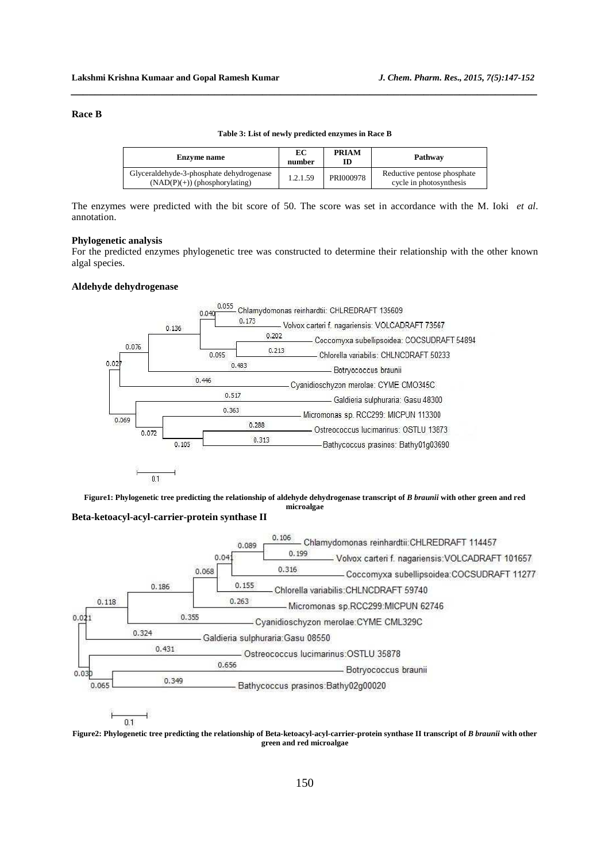### **Race B**

| Enzyme name                                                                 | EС<br>number | <b>PRIAM</b> | Pathway                                                |
|-----------------------------------------------------------------------------|--------------|--------------|--------------------------------------------------------|
| Glyceraldehyde-3-phosphate dehydrogenase<br>$(NAD(P)(+))$ (phosphorylating) | 1.2.1.59     | PRI000978    | Reductive pentose phosphate<br>cycle in photosynthesis |

**Table 3: List of newly predicted enzymes in Race B** 

*\_\_\_\_\_\_\_\_\_\_\_\_\_\_\_\_\_\_\_\_\_\_\_\_\_\_\_\_\_\_\_\_\_\_\_\_\_\_\_\_\_\_\_\_\_\_\_\_\_\_\_\_\_\_\_\_\_\_\_\_\_\_\_\_\_\_\_\_\_\_\_\_\_\_\_\_\_\_*

The enzymes were predicted with the bit score of 50. The score was set in accordance with the M. Ioki *et al*. annotation.

#### **Phylogenetic analysis**

For the predicted enzymes phylogenetic tree was constructed to determine their relationship with the other known algal species.

## **Aldehyde dehydrogenase**



**Figure1: Phylogenetic tree predicting the relationship of aldehyde dehydrogenase transcript of** *B braunii* **with other green and red microalgae Beta-ketoacyl-acyl-carrier-protein synthase II** 



 $0.1$ 

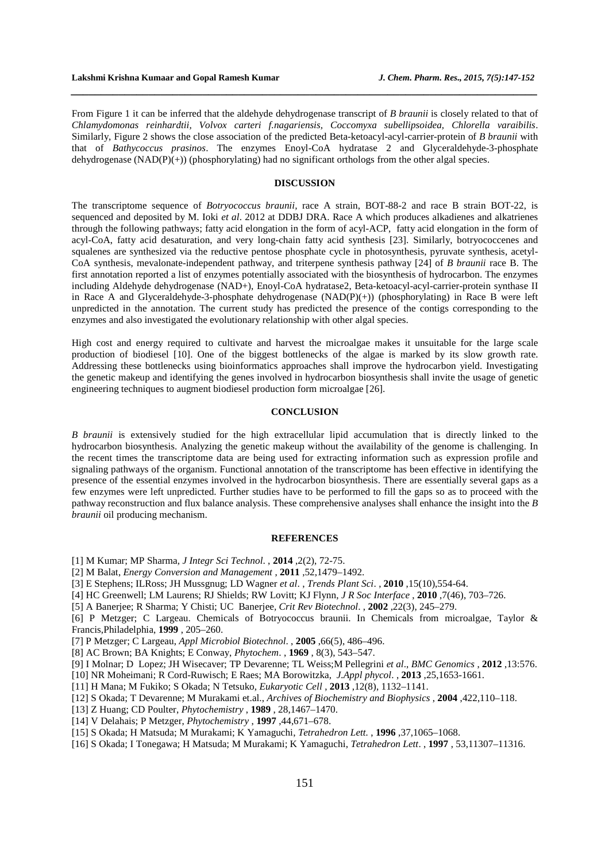From Figure 1 it can be inferred that the aldehyde dehydrogenase transcript of *B braunii* is closely related to that of *Chlamydomonas reinhardtii, Volvox carteri f.nagariensis, Coccomyxa subellipsoidea, Chlorella varaibilis*. Similarly, Figure 2 shows the close association of the predicted Beta-ketoacyl-acyl-carrier-protein of *B braunii* with that of *Bathycoccus prasinos*. The enzymes Enoyl-CoA hydratase 2 and Glyceraldehyde-3-phosphate dehydrogenase  $(NAD(P)(+))$  (phosphorylating) had no significant orthologs from the other algal species.

*\_\_\_\_\_\_\_\_\_\_\_\_\_\_\_\_\_\_\_\_\_\_\_\_\_\_\_\_\_\_\_\_\_\_\_\_\_\_\_\_\_\_\_\_\_\_\_\_\_\_\_\_\_\_\_\_\_\_\_\_\_\_\_\_\_\_\_\_\_\_\_\_\_\_\_\_\_\_*

#### **DISCUSSION**

The transcriptome sequence of *Botryococcus braunii,* race A strain, BOT-88-2 and race B strain BOT-22, is sequenced and deposited by M. Ioki *et al*. 2012 at DDBJ DRA. Race A which produces alkadienes and alkatrienes through the following pathways; fatty acid elongation in the form of acyl-ACP, fatty acid elongation in the form of acyl-CoA, fatty acid desaturation, and very long-chain fatty acid synthesis [23]. Similarly, botryococcenes and squalenes are synthesized via the reductive pentose phosphate cycle in photosynthesis, pyruvate synthesis, acetyl-CoA synthesis, mevalonate-independent pathway, and triterpene synthesis pathway [24] of *B braunii* race B. The first annotation reported a list of enzymes potentially associated with the biosynthesis of hydrocarbon. The enzymes including Aldehyde dehydrogenase (NAD+), Enoyl-CoA hydratase2, Beta-ketoacyl-acyl-carrier-protein synthase II in Race A and Glyceraldehyde-3-phosphate dehydrogenase  $(NAD(P)(+)$ ) (phosphorylating) in Race B were left unpredicted in the annotation. The current study has predicted the presence of the contigs corresponding to the enzymes and also investigated the evolutionary relationship with other algal species.

High cost and energy required to cultivate and harvest the microalgae makes it unsuitable for the large scale production of biodiesel [10]. One of the biggest bottlenecks of the algae is marked by its slow growth rate. Addressing these bottlenecks using bioinformatics approaches shall improve the hydrocarbon yield. Investigating the genetic makeup and identifying the genes involved in hydrocarbon biosynthesis shall invite the usage of genetic engineering techniques to augment biodiesel production form microalgae [26].

## **CONCLUSION**

*B braunii* is extensively studied for the high extracellular lipid accumulation that is directly linked to the hydrocarbon biosynthesis. Analyzing the genetic makeup without the availability of the genome is challenging. In the recent times the transcriptome data are being used for extracting information such as expression profile and signaling pathways of the organism. Functional annotation of the transcriptome has been effective in identifying the presence of the essential enzymes involved in the hydrocarbon biosynthesis. There are essentially several gaps as a few enzymes were left unpredicted. Further studies have to be performed to fill the gaps so as to proceed with the pathway reconstruction and flux balance analysis. These comprehensive analyses shall enhance the insight into the *B braunii* oil producing mechanism.

#### **REFERENCES**

- [1] M Kumar; MP Sharma*, J Integr Sci Technol*. , **2014** ,2(2), 72-75.
- [2] M Balat, *Energy Conversion and Management* , **2011** ,52,1479–1492.
- [3] E Stephens; ILRoss; JH Mussgnug; LD Wagner *et al*. , *Trends Plant Sci*. , **2010** ,15(10),554-64.
- [4] HC Greenwell; LM Laurens; RJ Shields; RW Lovitt; KJ Flynn, *J R Soc Interface* , **2010** ,7(46), 703–726.
- [5] A Banerjee; R Sharma; Y Chisti; UC Banerjee*, Crit Rev Biotechnol*. , **2002** ,22(3), 245–279.

[6] P Metzger; C Largeau. Chemicals of Botryococcus braunii. In Chemicals from microalgae, Taylor & Francis,Philadelphia, **1999** , 205–260.

- [7] P Metzger; C Largeau, *Appl Microbiol Biotechnol*. , **2005** ,66(5), 486–496.
- [8] AC Brown; BA Knights; E Conway, *Phytochem*. , **1969** , 8(3), 543–547.
- [9] I Molnar; D Lopez; JH Wisecaver; TP Devarenne; TL Weiss;M Pellegrini *et al*., *BMC Genomics* , **2012** ,13:576.
- [10] NR Moheimani; R Cord-Ruwisch; E Raes; MA Borowitzka*, J.Appl phycol*. , **2013** ,25,1653-1661.

[11] H Mana; M Fukiko; S Okada; N Tetsuko, *Eukaryotic Cell* , **2013** ,12(8), 1132–1141.

- [12] S Okada; T Devarenne; M Murakami et.al., *Archives of Biochemistry and Biophysics* , **2004** ,422,110–118.
- [13] Z Huang; CD Poulter, *Phytochemistry* , **1989** , 28,1467–1470.
- [14] V Delahais; P Metzger, *Phytochemistry* , **1997** ,44,671–678.
- [15] S Okada; H Matsuda; M Murakami; K Yamaguchi, *Tetrahedron Lett.* , **1996** ,37,1065–1068.
- [16] S Okada; I Tonegawa; H Matsuda; M Murakami; K Yamaguchi, *Tetrahedron Lett*. , **1997** , 53,11307–11316.